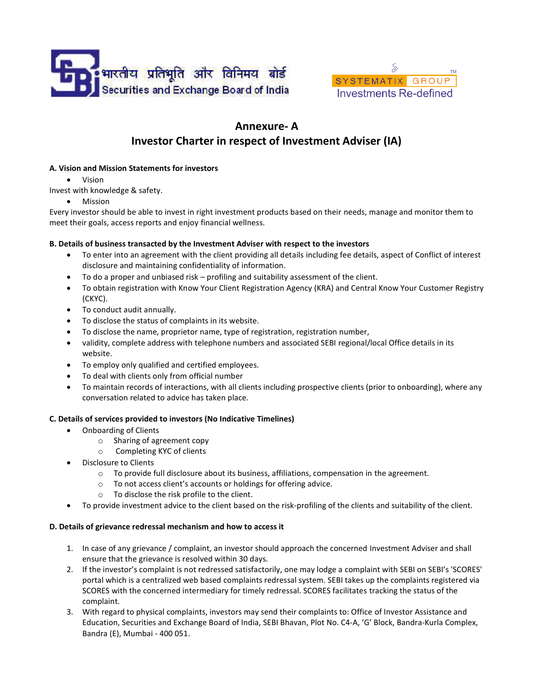



# Investor Charter in respect of Investment Adviser (IA) Annexure- A

## A. Vision and Mission Statements for investors

Vision

Invest with knowledge & safety.

Mission

Every investor should be able to invest in right investment products based on their needs, manage and monitor them to meet their goals, access reports and enjoy financial wellness.

## B. Details of business transacted by the Investment Adviser with respect to the investors

- To enter into an agreement with the client providing all details including fee details, aspect of Conflict of interest disclosure and maintaining confidentiality of information.
- To do a proper and unbiased risk profiling and suitability assessment of the client.
- To obtain registration with Know Your Client Registration Agency (KRA) and Central Know Your Customer Registry (CKYC).
- To conduct audit annually.
- To disclose the status of complaints in its website.
- To disclose the status of complaints in its website.<br>• To disclose the name, proprietor name, type of registration, registration number,
- validity, complete address with telephone numbers and associated SEBI regional/local Office details in its website.
- To employ only qualified and certified employees.
- To deal with clients only from official number
- To employ only qualified and certified employees.<br>● To deal with clients only from official number<br>● To maintain records of interactions, with all clients including prospective clients (prior to onboarding), where an conversation related to advice has taken place. conversation related to Know Your Customer Regis<br>
cal Office details in its<br>
ior to onboarding), where a<br>
che agreement.<br>
and suitability of the client.<br>
vestment Adviser and shall

### C. Details of services provided to investors (No Indicative Timelines)

- Onboarding of Clients
	- o Sharing of agreement copy o Sharing of agreement copy<br>
	o Completing KYC of clients
	-
- Disclosure to Clients
	- $\circ$  To provide full disclosure about its business, affiliations, compensation in the agreement.
	- o To not access client's accounts or holdings for offering advice.
	- o To disclose the risk profile to the client.
- O To not access client's accounts or holdings for offering advice.<br>
 To disclose the risk profile to the client.<br>
 To provide investment advice to the client based on the risk-profiling of the clients and suitability of

## D. Details of grievance redressal mechanism and how to access it

- 1. In case of any grievance / complaint, an investor should approach the concerned Investment Adviser and ensure that the grievance is resolved within 30 days.
- ensure that the grievance is resolved within 30 days.<br>2. If the investor's complaint is not redressed satisfactorily, one may lodge a complaint with SEBI on SEBI's 'SCORES' If the investor's complaint is not redressed satisfactorily, one may lodge a complaint with SEBI on SEBI's 'SCORES'<br>portal which is a centralized web based complaints redressal system. SEBI takes up the complaints register SCORES with the concerned intermediary for timely redressal. SCORES facilitates tracking the status of the complaint.
- 3. With regard to physical complaints, investors may send their complaints to: Office of Investor Assistance and SCORES with the concerned intermediary for timely redressal. SCORES facilitates tracking the status of the<br>complaint.<br>With regard to physical complaints, investors may send their complaints to: Office of Investor Assistanc Bandra (E), Mumbai - 400 051.